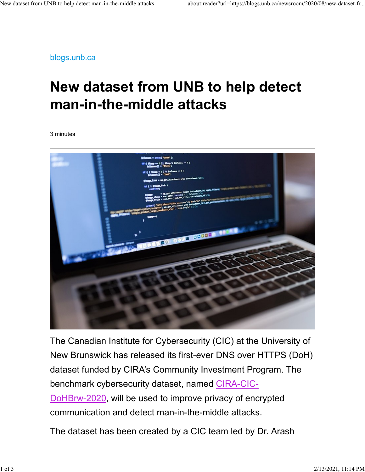blogs.unb.ca

## New dataset from UNB to help detect man-in-the-middle attacks

3 minutes



The Canadian Institute for Cybersecurity (CIC) at the University of New Brunswick has released its first-ever DNS over HTTPS (DoH) dataset funded by CIRA's Community Investment Program. The benchmark cybersecurity dataset, named CIRA-CIC-DoHBrw-2020, will be used to improve privacy of encrypted communication and detect man-in-the-middle attacks.

The dataset has been created by a CIC team led by Dr. Arash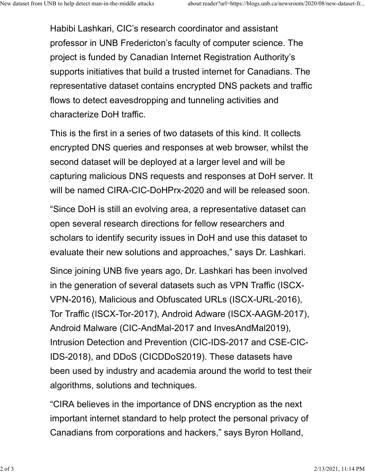Habibi Lashkari, CIC's research coordinator and assistant professor in UNB Fredericton's faculty of computer science. The project is funded by Canadian Internet Registration Authority's supports initiatives that build a trusted internet for Canadians. The representative dataset contains encrypted DNS packets and traffic flows to detect eavesdropping and tunneling activities and characterize DoH traffic.

This is the first in a series of two datasets of this kind. It collects encrypted DNS queries and responses at web browser, whilst the second dataset will be deployed at a larger level and will be capturing malicious DNS requests and responses at DoH server. It will be named CIRA-CIC-DoHPrx-2020 and will be released soon.

"Since DoH is still an evolving area, a representative dataset can open several research directions for fellow researchers and scholars to identify security issues in DoH and use this dataset to evaluate their new solutions and approaches," says Dr. Lashkari.

Since joining UNB five years ago, Dr. Lashkari has been involved in the generation of several datasets such as VPN Traffic (ISCX-VPN-2016), Malicious and Obfuscated URLs (ISCX-URL-2016), Tor Traffic (ISCX-Tor-2017), Android Adware (ISCX-AAGM-2017), Android Malware (CIC-AndMal-2017 and InvesAndMal2019), Intrusion Detection and Prevention (CIC-IDS-2017 and CSE-CIC-IDS-2018), and DDoS (CICDDoS2019). These datasets have been used by industry and academia around the world to test their algorithms, solutions and techniques.

"CIRA believes in the importance of DNS encryption as the next important internet standard to help protect the personal privacy of Canadians from corporations and hackers," says Byron Holland,